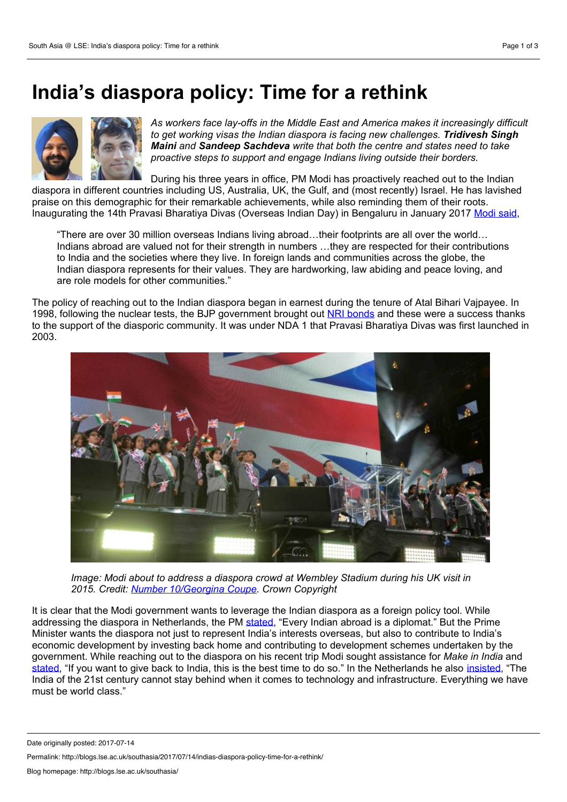## **India's diaspora policy:Time for a rethink**



*As workers face lay-offs in the Middle East and America makes it increasingly difficult to get working visas the Indian diaspora is facing new challenges. Tridivesh Singh Maini and Sandeep Sachdeva write thatboth the centre and states need to take proactive steps to support and engage Indians living outside their borders.*

During his three years in office, PM Modi has proactively reached out to the Indian diaspora in different countries including US, Australia, UK, the Gulf, and (most recently) Israel. He has lavished praise on this demographic for their remarkable achievements, while also reminding them of their roots. Inaugurating the 14th Pravasi Bharatiya Divas (Overseas Indian Day) in Bengaluru in January 2017 [Modi](http://economictimes.indiatimes.com/nri/nris-in-news/pm-modi-hails-indian-diaspora-says-they-are-role-models-for-other-communities/articleshow/56400651.cms) said,

"There are over 30 million overseas Indians living abroad…their footprints are all overthe world… Indians abroad are valued not for their strength in numbers …they are respected for their contributions to India and the societies where they live. In foreign lands and communities across the globe, the Indian diaspora represents for their values. They are hardworking, law abiding and peace loving, and are role models for other communities."

The policy of reaching out to the Indian diaspora began in earnest during the tenure of Atal Bihari Vajpayee. In 1998, following the nuclear tests, the BJP government brought out NRI [bonds](http://siteresources.worldbank.org/INTPROSPECTS/Resources/334934-1110315015165/Senthil.pdf) and these were a success thanks to the support of the diasporic community. It was under NDA 1 that Pravasi Bharatiya Divas was first launched in 2003.



*Image: Modi about to address a diaspora crowd at Wembley Stadium during his UK visit in 2015. Credit: Number [10/Georgina](https://www.flickr.com/photos/number10gov/22977214932/in/photolist-B1qeu9-AoCWSs-AoNWPG-AoCNha-AoNHkr-AoCU2g-AKa8K1) Coupe. Crown Copyright*

It is clear that the Modi government wants to leverage the Indian diaspora as a foreign policy tool. While addressing the diaspora in Netherlands, the PM [stated,](http://www.financialexpress.com/india-news/narendra-modi-in-netherlands-in-speech-to-indian-diaspora-pm-says-no-matter-the-colour-of-the-passports-here-blood-relations-will-not-change/738373/) "Every Indian abroad is a diplomat." But the Prime Minister wants the diaspora not just to represent India's interests overseas, but also to contribute to India's economic development by investing back home and contributing to development schemes undertaken by the government. While reaching out to the diaspora on his recent trip Modi sought assistance for *Make in India* and [stated](http://economictimes.indiatimes.com/news/politics-and-nation/if-you-want-to-give-back-to-india-this-is-the-best-time-to-do-so-pm-narendra-modi-in-usa/articleshow/59315101.cms), "If you want to give back to India, this is the best time to do so." In the Netherlands he also [insisted,](http://economictimes.indiatimes.com/news/politics-and-nation/india-of-the-21st-century-cannot-stay-behind-narendra-modi/articleshow/59342305.cms) "The India of the 21st century cannot stay behind when it comes to technology and infrastructure. Everything we have must be world class."

Permalink: http://blogs.lse.ac.uk/southasia/2017/07/14/indias-diaspora-policy-time-for-a-rethink/

Date originally posted: 2017-07-14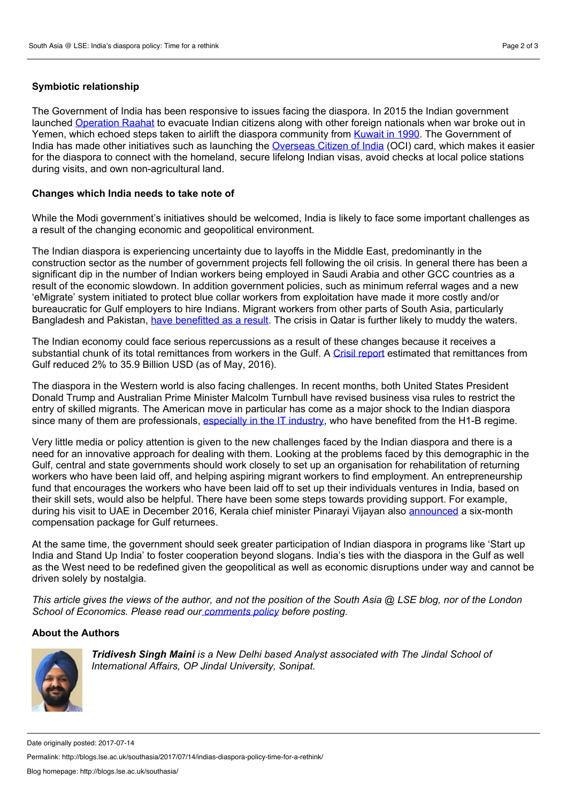## **Symbiotic relationship**

The Government of India has been responsive to issues facing the diaspora. In 2015 the Indian government

launched [Operation](http://www.thehindu.com/specials/the-great-yemen-escape-operation-rahat-by-numbers/article7089422.ece) Raahat to evacuate Indian citizens along with other foreign nationals when war broke out in Yemen, which echoed steps taken to airlift the diaspora community from [Kuwait](http://indiatoday.intoday.in/education/story/largest-air-evacuation/1/575003.html) in 1990. The Government of India has made other initiatives such as launching the [Overseas](http://passport.gov.in/oci/) Citizen of India (OCI) card, which makes it easier for the diaspora to connect with the homeland, secure lifelong Indian visas, avoid checks at local police stations during visits, and own non-agricultural land.

## **Changes which India needs to take note of**

While the Modi government's initiatives should be welcomed, India is likely to face some important challenges as a result of the changing economic and geopolitical environment.

The Indian diaspora is experiencing uncertainty due to layoffs in the Middle East, predominantly in the construction sector as the number of government projects fell following the oil crisis. In general there has been a significant dip in the number of Indian workers being employed in Saudi Arabia and other GCC countries as a result of the economic slowdown. In addition government policies, such as minimum referral wages and a new 'eMigrate' system initiated to protect blue collar workers from exploitation have made it more costly and/or bureaucratic for Gulf employers to hire Indians. Migrant workers from other parts of South Asia, particularly Bangladesh and Pakistan, have [benefitted](https://www.outlookindia.com/website/story/how-indias-recent-migrant-policies-helped-bangladesh-and-pakistan-eat-into-our-g/298076) as a result. The crisis in Qatar is further likely to muddy the waters.

The Indian economy could face serious repercussions as a result of these changes because it receives a substantial chunk of its total remittances from workers in the Gulf. A Crisil [report](https://www.thenational.ae/business/india-suffers-steep-decline-in-remittances-from-gcc-nations-1.203351) estimated that remittances from Gulf reduced 2% to 35.9 Billion USD (as of May, 2016).

The diaspora in the Western world is also facing challenges. In recent months, both United States President Donald Trump and Australian Prime Minister Malcolm Turnbull have revised business visa rules to restrict the entry of skilled migrants. The American move in particular has come as a major shock to the Indian diaspora since many of them are professionals, [especially](http://english.manoramaonline.com/news/columns/global-indian/the-sword-of-damocles-hanging-over-indian-diaspora.html) in the IT industry, who have benefited from the H1-B regime.

Very little media or policy attention is given to the new challenges faced by the Indian diaspora and there is a need for an innovative approach for dealing with them. Looking at the problems faced by this demographic in the Gulf, central and state governments should work closely to set up an organisation for rehabilitation of returning workers who have been laid off, and helping aspiring migrant workers to find employment. An entrepreneurship fund that encourages the workers who have been laid off to set up their individuals ventures in India, based on their skill sets, would also be helpful. There have been some steps towards providing support. For example, during his visit to UAE in December 2016, Kerala chief minister Pinarayi Vijayan also [announced](http://english.manoramaonline.com/news/kerala/kerala-cm-pinarayi-compensation-package-gulf-returnees.html) a six-month compensation package for Gulf returnees.

At the same time, the government should seek greater participation of Indian diaspora in programs like 'Start up India and Stand Up India' to foster cooperation beyond slogans. India's ties with the diaspora in the Gulf as well as the West need to be redefined given the geopolitical as well as economic disruptions under way and cannot be driven solely by nostalgia.

This article gives the views of the author, and not the position of the South Asia  $@$  LSE blog, nor of the London *School of Economics. Please read our [comments](http://blogs.lse.ac.uk/southasia/2012/06/06/comments-policy/) policy before posting.*

## **About the Authors**



*Tridivesh Singh Maini is a New Delhi based Analyst associated with The Jindal School of International Affairs, OP Jindal University, Sonipat.*

Date originally posted: 2017-07-14

Permalink: http://blogs.lse.ac.uk/southasia/2017/07/14/indias-diaspora-policy-time-for-a-rethink/